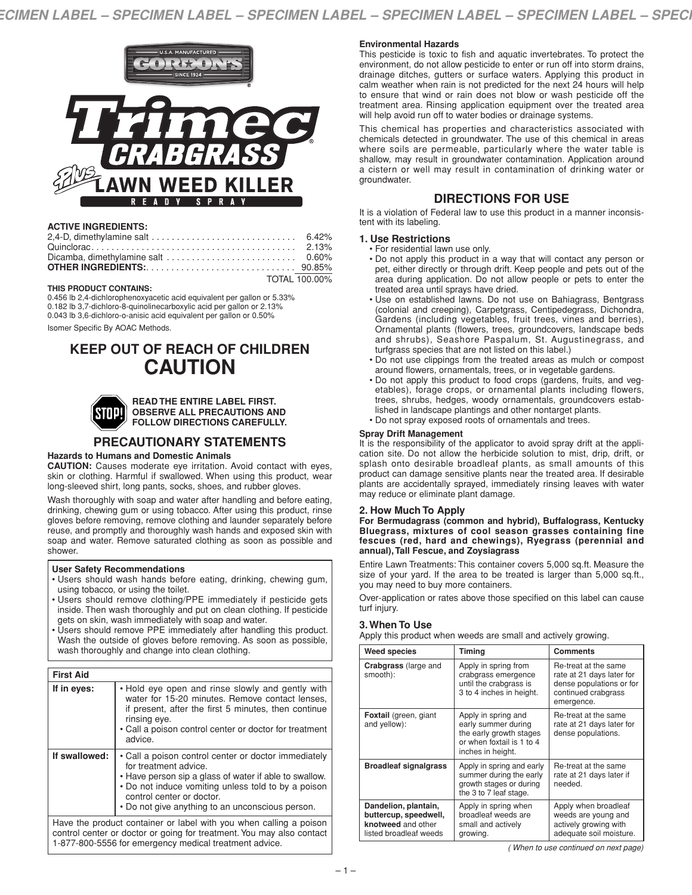

## **ACTIVE INGREDIENTS:**

| 2,4-D, dimethylamine salt $\dots\dots\dots\dots\dots\dots\dots\dots\dots\dots\dots$ 6.42% |  |
|-------------------------------------------------------------------------------------------|--|
|                                                                                           |  |
|                                                                                           |  |
|                                                                                           |  |
| TOTAL 100.00%                                                                             |  |

#### **THIS PRODUCT CONTAINS:**

0.456 lb 2,4-dichlorophenoxyacetic acid equivalent per gallon or 5.33% 0.182 lb 3,7-dichloro-8-quinolinecarboxylic acid per gallon or 2.13% 0.043 lb 3,6-dichloro-o-anisic acid equivalent per gallon or 0.50%

Isomer Specific By AOAC Methods.

# **KEEP OUT OF REACH OF CHILDREN CAUTION**



#### **READ THE ENTIRE LABEL FIRST. OBSERVE ALL PRECAUTIONS AND FOLLOW DIRECTIONS CAREFULLY.**

# **PRECAUTIONARY STATEMENTS**

#### **Hazards to Humans and Domestic Animals**

**CAUTION:** Causes moderate eye irritation. Avoid contact with eyes, skin or clothing. Harmful if swallowed. When using this product, wear long-sleeved shirt, long pants, socks, shoes, and rubber gloves.

Wash thoroughly with soap and water after handling and before eating, drinking, chewing gum or using tobacco. After using this product, rinse gloves before removing, remove clothing and launder separately before reuse, and promptly and thoroughly wash hands and exposed skin with soap and water. Remove saturated clothing as soon as possible and shower.

#### **User Safety Recommendations**

- Users should wash hands before eating, drinking, chewing gum, using tobacco, or using the toilet.
- Users should remove clothing/PPE immediately if pesticide gets inside. Then wash thoroughly and put on clean clothing. If pesticide gets on skin, wash immediately with soap and water.
- Users should remove PPE immediately after handling this product. Wash the outside of gloves before removing. As soon as possible, wash thoroughly and change into clean clothing.

| <b>First Aid</b>                                                                                                                                                                     |                                                                                                                                                                                                                                                                                 |
|--------------------------------------------------------------------------------------------------------------------------------------------------------------------------------------|---------------------------------------------------------------------------------------------------------------------------------------------------------------------------------------------------------------------------------------------------------------------------------|
| If in eyes:                                                                                                                                                                          | • Hold eye open and rinse slowly and gently with<br>water for 15-20 minutes. Remove contact lenses,<br>if present, after the first 5 minutes, then continue<br>rinsing eye.<br>• Call a poison control center or doctor for treatment<br>advice.                                |
| If swallowed:                                                                                                                                                                        | • Call a poison control center or doctor immediately<br>for treatment advice.<br>• Have person sip a glass of water if able to swallow.<br>• Do not induce vomiting unless told to by a poison<br>control center or doctor.<br>• Do not give anything to an unconscious person. |
| Have the product container or label with you when calling a poison<br>to book to a contract of the state of the contract of the contract of March can contract of the contract of th |                                                                                                                                                                                                                                                                                 |

control center or doctor or going for treatment. You may also contact 1-877-800-5556 for emergency medical treatment advice.

## **Environmental Hazards**

This pesticide is toxic to fish and aquatic invertebrates. To protect the environment, do not allow pesticide to enter or run off into storm drains, drainage ditches, gutters or surface waters. Applying this product in calm weather when rain is not predicted for the next 24 hours will help to ensure that wind or rain does not blow or wash pesticide off the treatment area. Rinsing application equipment over the treated area will help avoid run off to water bodies or drainage systems.

This chemical has properties and characteristics associated with chemicals detected in groundwater. The use of this chemical in areas where soils are permeable, particularly where the water table is shallow, may result in groundwater contamination. Application around a cistern or well may result in contamination of drinking water or groundwater.

# **DIRECTIONS FOR USE**

It is a violation of Federal law to use this product in a manner inconsistent with its labeling.

#### **1. Use Restrictions**

- For residential lawn use only.
- Do not apply this product in a way that will contact any person or pet, either directly or through drift. Keep people and pets out of the area during application. Do not allow people or pets to enter the treated area until sprays have dried.
- Use on established lawns. Do not use on Bahiagrass, Bentgrass (colonial and creeping), Carpetgrass, Centipedegrass, Dichondra, Gardens (including vegetables, fruit trees, vines and berries), Ornamental plants (flowers, trees, groundcovers, landscape beds and shrubs), Seashore Paspalum, St. Augustinegrass, and turfgrass species that are not listed on this label.)
- Do not use clippings from the treated areas as mulch or compost around flowers, ornamentals, trees, or in vegetable gardens.
- Do not apply this product to food crops (gardens, fruits, and vegetables), forage crops, or ornamental plants including flowers, trees, shrubs, hedges, woody ornamentals, groundcovers established in landscape plantings and other nontarget plants. • Do not spray exposed roots of ornamentals and trees.

#### **Spray Drift Management**

It is the responsibility of the applicator to avoid spray drift at the application site. Do not allow the herbicide solution to mist, drip, drift, or splash onto desirable broadleaf plants, as small amounts of this product can damage sensitive plants near the treated area. If desirable plants are accidentally sprayed, immediately rinsing leaves with water may reduce or eliminate plant damage.

## **2. How Much To Apply**

**For Bermudagrass (common and hybrid), Buffalograss, Kentucky Bluegrass, mixtures of cool season grasses containing fine fescues (red, hard and chewings), Ryegrass (perennial and annual),Tall Fescue, and Zoysiagrass**

Entire Lawn Treatments: This container covers 5,000 sq.ft. Measure the size of your yard. If the area to be treated is larger than 5,000 sq.ft., you may need to buy more containers.

Over-application or rates above those specified on this label can cause turf injury.

## **3. When To Use**

Apply this product when weeds are small and actively growing.

| <b>Weed species</b>                                                                           | Timing                                                                                                                  | <b>Comments</b>                                                                                                    |
|-----------------------------------------------------------------------------------------------|-------------------------------------------------------------------------------------------------------------------------|--------------------------------------------------------------------------------------------------------------------|
| <b>Crabgrass</b> (large and<br>smooth):                                                       | Apply in spring from<br>crabgrass emergence<br>until the crabgrass is<br>3 to 4 inches in height.                       | Re-treat at the same<br>rate at 21 days later for<br>dense populations or for<br>continued crabgrass<br>emergence. |
| <b>Foxtail</b> (green, giant<br>and yellow):                                                  | Apply in spring and<br>early summer during<br>the early growth stages<br>or when foxtail is 1 to 4<br>inches in height. | Re-treat at the same<br>rate at 21 days later for<br>dense populations.                                            |
| <b>Broadleaf signalgrass</b>                                                                  | Apply in spring and early<br>summer during the early<br>growth stages or during<br>the 3 to 7 leaf stage.               | Re-treat at the same<br>rate at 21 days later if<br>needed.                                                        |
| Dandelion, plantain,<br>buttercup, speedwell,<br>knotweed and other<br>listed broadleaf weeds | Apply in spring when<br>broadleaf weeds are<br>small and actively<br>growing.                                           | Apply when broadleaf<br>weeds are young and<br>actively growing with<br>adequate soil moisture.                    |

*( When to use continued on next page)*